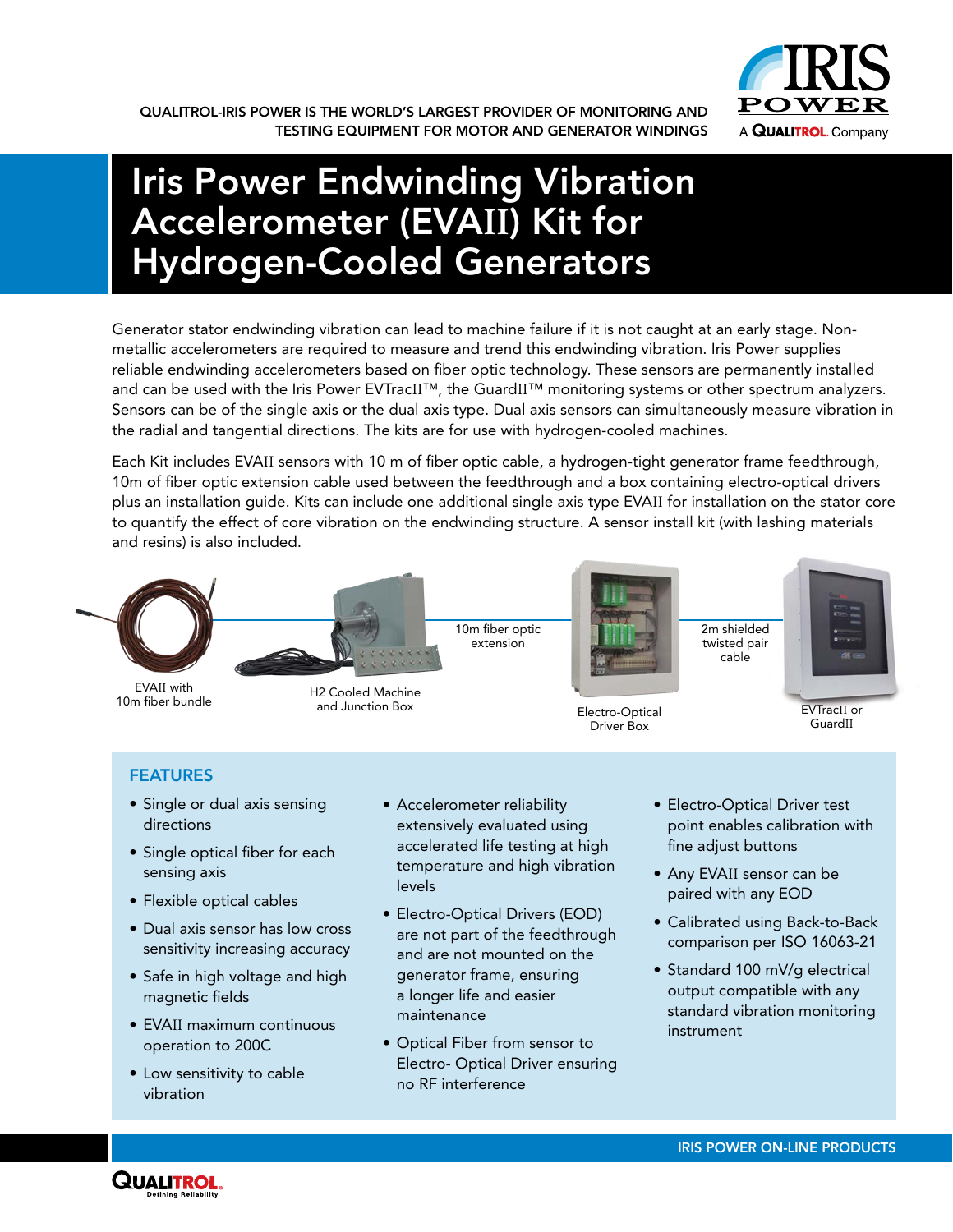

# Iris Power Endwinding Vibration Accelerometer (EVA**II**) Kit for Hydrogen-Cooled Generators

Generator stator endwinding vibration can lead to machine failure if it is not caught at an early stage. Nonmetallic accelerometers are required to measure and trend this endwinding vibration. Iris Power supplies reliable endwinding accelerometers based on fiber optic technology. These sensors are permanently installed and can be used with the Iris Power EVTracII™, the GuardII™ monitoring systems or other spectrum analyzers. Sensors can be of the single axis or the dual axis type. Dual axis sensors can simultaneously measure vibration in the radial and tangential directions. The kits are for use with hydrogen-cooled machines.

Each Kit includes EVAII sensors with 10 m of fiber optic cable, a hydrogen-tight generator frame feedthrough, 10m of fiber optic extension cable used between the feedthrough and a box containing electro-optical drivers plus an installation guide. Kits can include one additional single axis type EVAII for installation on the stator core to quantify the effect of core vibration on the endwinding structure. A sensor install kit (with lashing materials and resins) is also included.



EVAII with 10m fiber bundle



extension

10m fiber optic



Driver Box

2m shielded twisted pair cable



and Junction Box **Electro-Optical** GuardII

# FEATURES

- Single or dual axis sensing directions
- Single optical fiber for each sensing axis
- Flexible optical cables
- Dual axis sensor has low cross sensitivity increasing accuracy
- Safe in high voltage and high magnetic fields
- EVAII maximum continuous operation to 200C
- Low sensitivity to cable vibration
- Accelerometer reliability extensively evaluated using accelerated life testing at high temperature and high vibration levels
- Electro-Optical Drivers (EOD) are not part of the feedthrough and are not mounted on the generator frame, ensuring a longer life and easier maintenance
- • Optical Fiber from sensor to Electro- Optical Driver ensuring no RF interference
- Electro-Optical Driver test point enables calibration with fine adjust buttons
- Any EVAII sensor can be paired with any EOD
- Calibrated using Back-to-Back comparison per ISO 16063-21
- Standard 100 mV/g electrical output compatible with any standard vibration monitoring instrument